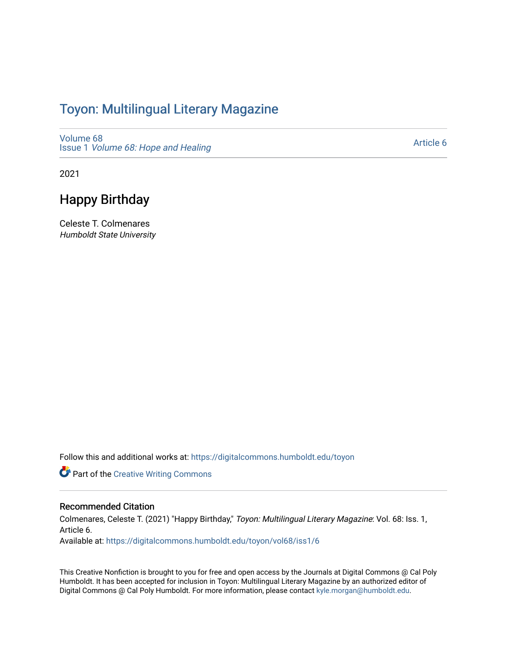## Toyon: Multilingual Literar[y](https://digitalcommons.humboldt.edu/toyon) Magazine

[Volume 68](https://digitalcommons.humboldt.edu/toyon/vol68) Issue 1 [Volume 68: Hope and Healing](https://digitalcommons.humboldt.edu/toyon/vol68/iss1) 

[Article 6](https://digitalcommons.humboldt.edu/toyon/vol68/iss1/6) 

2021

## Happy Birthday

Celeste T. Colmenares Humboldt State University

Follow this and additional works at: [https://digitalcommons.humboldt.edu/toyon](https://digitalcommons.humboldt.edu/toyon?utm_source=digitalcommons.humboldt.edu%2Ftoyon%2Fvol68%2Fiss1%2F6&utm_medium=PDF&utm_campaign=PDFCoverPages)

**Part of the Creative Writing Commons** 

## Recommended Citation

Colmenares, Celeste T. (2021) "Happy Birthday," Toyon: Multilingual Literary Magazine: Vol. 68: Iss. 1, Article 6.

Available at: [https://digitalcommons.humboldt.edu/toyon/vol68/iss1/6](https://digitalcommons.humboldt.edu/toyon/vol68/iss1/6?utm_source=digitalcommons.humboldt.edu%2Ftoyon%2Fvol68%2Fiss1%2F6&utm_medium=PDF&utm_campaign=PDFCoverPages)

This Creative Nonfiction is brought to you for free and open access by the Journals at Digital Commons @ Cal Poly Humboldt. It has been accepted for inclusion in Toyon: Multilingual Literary Magazine by an authorized editor of Digital Commons @ Cal Poly Humboldt. For more information, please contact [kyle.morgan@humboldt.edu.](mailto:kyle.morgan@humboldt.edu)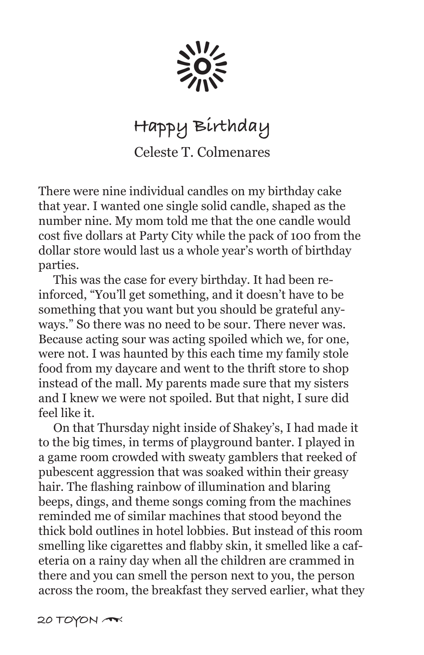$\sum_{n=1}^{N-1} 0^{n-1}$ 

## **Happy Birthday** Celeste T. Colmenares

There were nine individual candles on my birthday cake that year. I wanted one single solid candle, shaped as the number nine. My mom told me that the one candle would cost five dollars at Party City while the pack of 100 from the dollar store would last us a whole year's worth of birthday parties.

 This was the case for every birthday. It had been reinforced, "You'll get something, and it doesn't have to be something that you want but you should be grateful anyways." So there was no need to be sour. There never was. Because acting sour was acting spoiled which we, for one, were not. I was haunted by this each time my family stole food from my daycare and went to the thrift store to shop instead of the mall. My parents made sure that my sisters and I knew we were not spoiled. But that night, I sure did feel like it.

 On that Thursday night inside of Shakey's, I had made it to the big times, in terms of playground banter. I played in a game room crowded with sweaty gamblers that reeked of pubescent aggression that was soaked within their greasy hair. The flashing rainbow of illumination and blaring beeps, dings, and theme songs coming from the machines reminded me of similar machines that stood beyond the thick bold outlines in hotel lobbies. But instead of this room smelling like cigarettes and flabby skin, it smelled like a cafeteria on a rainy day when all the children are crammed in there and you can smell the person next to you, the person across the room, the breakfast they served earlier, what they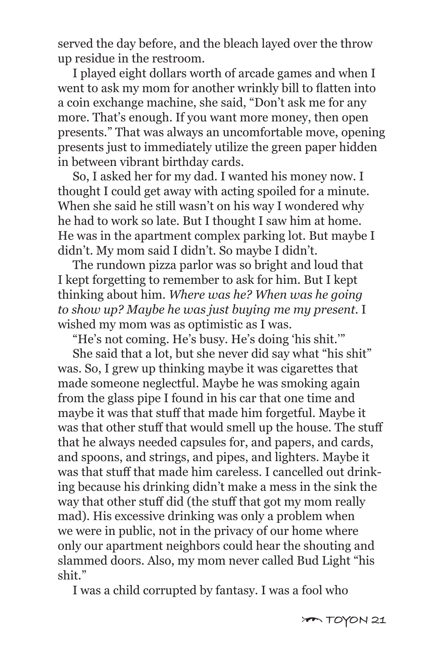served the day before, and the bleach layed over the throw up residue in the restroom.

 I played eight dollars worth of arcade games and when I went to ask my mom for another wrinkly bill to flatten into a coin exchange machine, she said, "Don't ask me for any more. That's enough. If you want more money, then open presents." That was always an uncomfortable move, opening presents just to immediately utilize the green paper hidden in between vibrant birthday cards.

 So, I asked her for my dad. I wanted his money now. I thought I could get away with acting spoiled for a minute. When she said he still wasn't on his way I wondered why he had to work so late. But I thought I saw him at home. He was in the apartment complex parking lot. But maybe I didn't. My mom said I didn't. So maybe I didn't.

 The rundown pizza parlor was so bright and loud that I kept forgetting to remember to ask for him. But I kept thinking about him. *Where was he? When was he going to show up? Maybe he was just buying me my present.* I wished my mom was as optimistic as I was.

"He's not coming. He's busy. He's doing 'his shit.'"

 She said that a lot, but she never did say what "his shit" was. So, I grew up thinking maybe it was cigarettes that made someone neglectful. Maybe he was smoking again from the glass pipe I found in his car that one time and maybe it was that stuff that made him forgetful. Maybe it was that other stuff that would smell up the house. The stuff that he always needed capsules for, and papers, and cards, and spoons, and strings, and pipes, and lighters. Maybe it was that stuff that made him careless. I cancelled out drinking because his drinking didn't make a mess in the sink the way that other stuff did (the stuff that got my mom really mad). His excessive drinking was only a problem when we were in public, not in the privacy of our home where only our apartment neighbors could hear the shouting and slammed doors. Also, my mom never called Bud Light "his shit."

I was a child corrupted by fantasy. I was a fool who